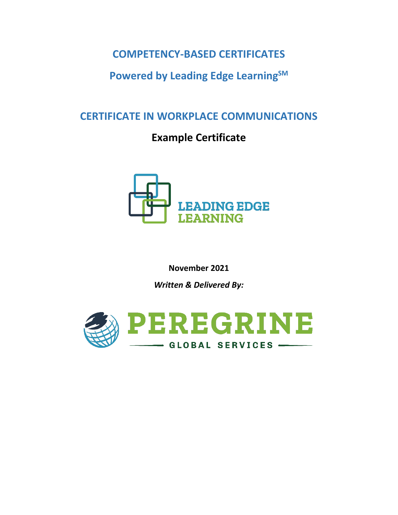## **COMPETENCY-BASED CERTIFICATES**

## **Powered by Leading Edge LearningSM**

## **CERTIFICATE IN WORKPLACE COMMUNICATIONS**

# **Example Certificate**



**November 2021** *Written & Delivered By:*

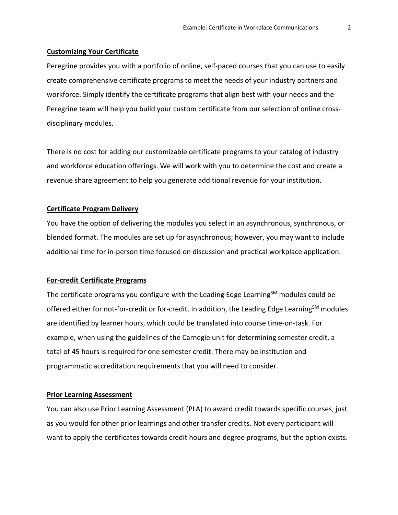#### **Customizing Your Certificate**

Peregrine provides you with a portfolio of online, self-paced courses that you can use to easily create comprehensive certificate programs to meet the needs of your industry partners and workforce. Simply identify the certificate programs that align best with your needs and the Peregrine team will help you build your custom certificate from our selection of online crossdisciplinary modules.

There is no cost for adding our customizable certificate programs to your catalog of industry and workforce education offerings. We will work with you to determine the cost and create a revenue share agreement to help you generate additional revenue for your institution.

#### **Certificate Program Delivery**

You have the option of delivering the modules you select in an asynchronous, synchronous, or blended format. The modules are set up for asynchronous; however, you may want to include additional time for in-person time focused on discussion and practical workplace application.

#### **For-credit Certificate Programs**

The certificate programs you configure with the Leading Edge Learning $<sup>5M</sup>$  modules could be</sup> offered either for not-for-credit or for-credit. In addition, the Leading Edge Learning<sup>SM</sup> modules are identified by learner hours, which could be translated into course time-on-task. For example, when using the guidelines of the Carnegie unit for determining semester credit, a total of 45 hours is required for one semester credit. There may be institution and programmatic accreditation requirements that you will need to consider.

#### **Prior Learning Assessment**

You can also use Prior Learning Assessment (PLA) to award credit towards specific courses, just as you would for other prior learnings and other transfer credits. Not every participant will want to apply the certificates towards credit hours and degree programs, but the option exists.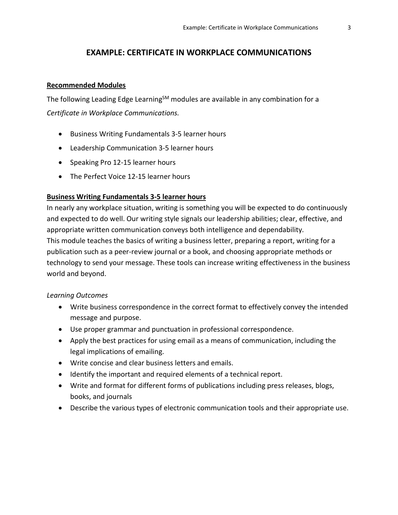## **EXAMPLE: CERTIFICATE IN WORKPLACE COMMUNICATIONS**

### **Recommended Modules**

The following Leading Edge Learning<sup>SM</sup> modules are available in any combination for a *Certificate in Workplace Communications.*

- Business Writing Fundamentals 3-5 learner hours
- Leadership Communication 3-5 learner hours
- Speaking Pro 12-15 learner hours
- The Perfect Voice 12-15 learner hours

#### **Business Writing Fundamentals 3-5 learner hours**

In nearly any workplace situation, writing is something you will be expected to do continuously and expected to do well. Our writing style signals our leadership abilities; clear, effective, and appropriate written communication conveys both intelligence and dependability. This module teaches the basics of writing a business letter, preparing a report, writing for a publication such as a peer-review journal or a book, and choosing appropriate methods or technology to send your message. These tools can increase writing effectiveness in the business world and beyond.

#### *Learning Outcomes*

- Write business correspondence in the correct format to effectively convey the intended message and purpose.
- Use proper grammar and punctuation in professional correspondence.
- Apply the best practices for using email as a means of communication, including the legal implications of emailing.
- Write concise and clear business letters and emails.
- Identify the important and required elements of a technical report.
- Write and format for different forms of publications including press releases, blogs, books, and journals
- Describe the various types of electronic communication tools and their appropriate use.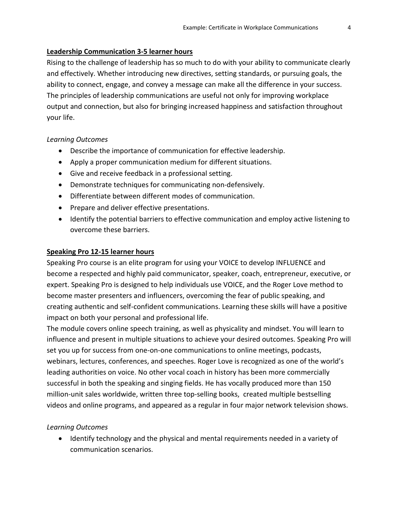#### **Leadership Communication 3-5 learner hours**

Rising to the challenge of leadership has so much to do with your ability to communicate clearly and effectively. Whether introducing new directives, setting standards, or pursuing goals, the ability to connect, engage, and convey a message can make all the difference in your success. The principles of leadership communications are useful not only for improving workplace output and connection, but also for bringing increased happiness and satisfaction throughout your life.

### *Learning Outcomes*

- Describe the importance of communication for effective leadership.
- Apply a proper communication medium for different situations.
- Give and receive feedback in a professional setting.
- Demonstrate techniques for communicating non-defensively.
- Differentiate between different modes of communication.
- Prepare and deliver effective presentations.
- Identify the potential barriers to effective communication and employ active listening to overcome these barriers.

#### **Speaking Pro 12-15 learner hours**

Speaking Pro course is an elite program for using your VOICE to develop INFLUENCE and become a respected and highly paid communicator, speaker, coach, entrepreneur, executive, or expert. Speaking Pro is designed to help individuals use VOICE, and the Roger Love method to become master presenters and influencers, overcoming the fear of public speaking, and creating authentic and self-confident communications. Learning these skills will have a positive impact on both your personal and professional life.

The module covers online speech training, as well as physicality and mindset. You will learn to influence and present in multiple situations to achieve your desired outcomes. Speaking Pro will set you up for success from one-on-one communications to online meetings, podcasts, webinars, lectures, conferences, and speeches. Roger Love is recognized as one of the world's leading authorities on voice. No other vocal coach in history has been more commercially successful in both the speaking and singing fields. He has vocally produced more than 150 million-unit sales worldwide, written three top-selling books, created multiple bestselling videos and online programs, and appeared as a regular in four major network television shows.

### *Learning Outcomes*

• Identify technology and the physical and mental requirements needed in a variety of communication scenarios.